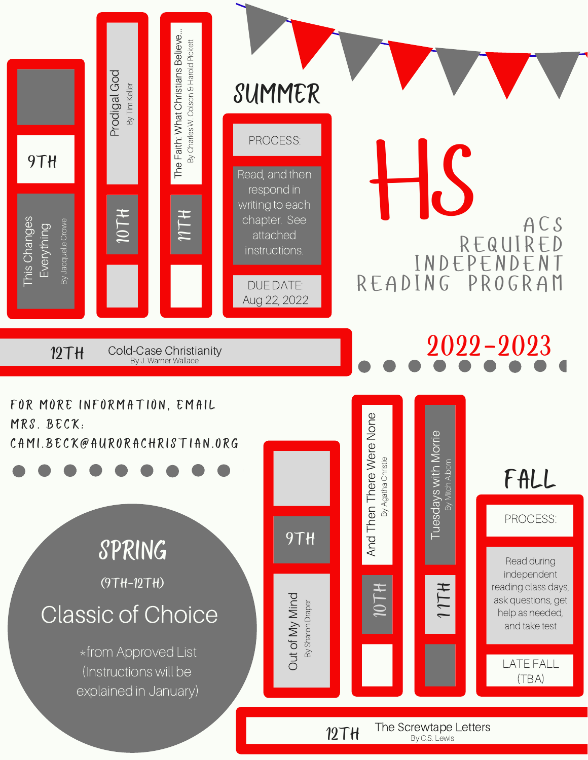